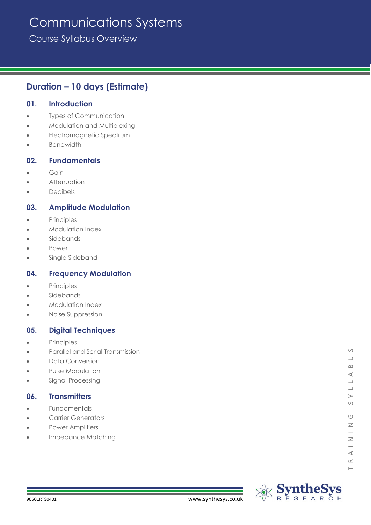# Communications Systems

Course Syllabus Overview

# **Duration – 10 days (Estimate)**

# **01. Introduction**

- Types of Communication
- Modulation and Multiplexing
- Electromagnetic Spectrum
- **Bandwidth**

# **02. Fundamentals**

- Gain
- **Attenuation**
- **Decibels**

# **03. Amplitude Modulation**

- **Principles**
- Modulation Index
- **Sidebands**
- Power
- Single Sideband

# **04. Frequency Modulation**

- **Principles**
- **Sidebands**
- Modulation Index
- Noise Suppression

# **05. Digital Techniques**

- **Principles**
- Parallel and Serial Transmission
- Data Conversion
- Pulse Modulation
- Signal Processing

# **06. Transmitters**

- **Fundamentals**
- Carrier Generators
- Power Amplifiers
- Impedance Matching

 $\vdash$ 

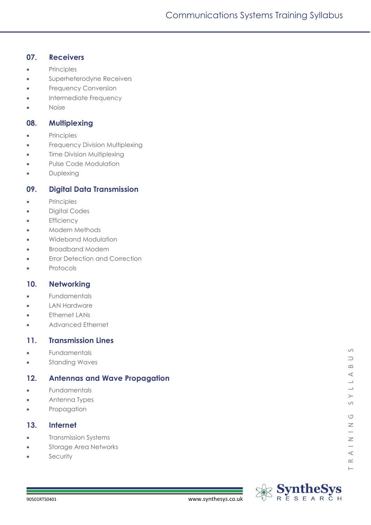# **07. Receivers**

- Principles
- Superheterodyne Receivers
- Frequency Conversion
- Intermediate Frequency
- Noise

### **08. Multiplexing**

- Principles
- Frequency Division Multiplexing
- **Time Division Multiplexing**
- Pulse Code Modulation
- **Duplexing**

# **09. Digital Data Transmission**

- Principles
- Digital Codes
- **Efficiency**
- Modern Methods
- Wideband Modulation
- Broadband Modem
- **Error Detection and Correction**
- **Protocols**

# **10. Networking**

- **Fundamentals**
- **LAN Hardware**
- **Ethernet LANs**
- Advanced Ethernet

#### **11. Transmission Lines**

- Fundamentals
- Standing Waves

# **12. Antennas and Wave Propagation**

- **Fundamentals**
- Antenna Types
- Propagation

# **13. Internet**

- Transmission Systems
- Storage Area Networks
- **Security**

 $\vdash$ 

 $\circ$ 

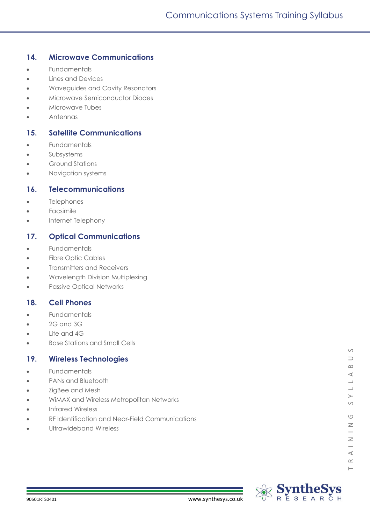# **14. Microwave Communications**

- Fundamentals
- Lines and Devices
- Waveguides and Cavity Resonators
- Microwave Semiconductor Diodes
- Microwave Tubes
- Antennas

# **15. Satellite Communications**

- **Fundamentals**
- **Subsystems**
- Ground Stations
- Navigation systems

# **16. Telecommunications**

- **Telephones**
- **Facsimile**
- Internet Telephony

# **17. Optical Communications**

- **Fundamentals**
- Fibre Optic Cables
- Transmitters and Receivers
- Wavelength Division Multiplexing
- Passive Optical Networks

# **18. Cell Phones**

- **Fundamentals**
- 2G and 3G
- Lite and 4G
- Base Stations and Small Cells

# **19. Wireless Technologies**

- **Fundamentals**
- PANs and Bluetooth
- ZigBee and Mesh
- WiMAX and Wireless Metropolitan Networks
- Infrared Wireless
- RF Identification and Near-Field Communications
- Ultrawideband Wireless

 $\vdash$ 

 $\circ$